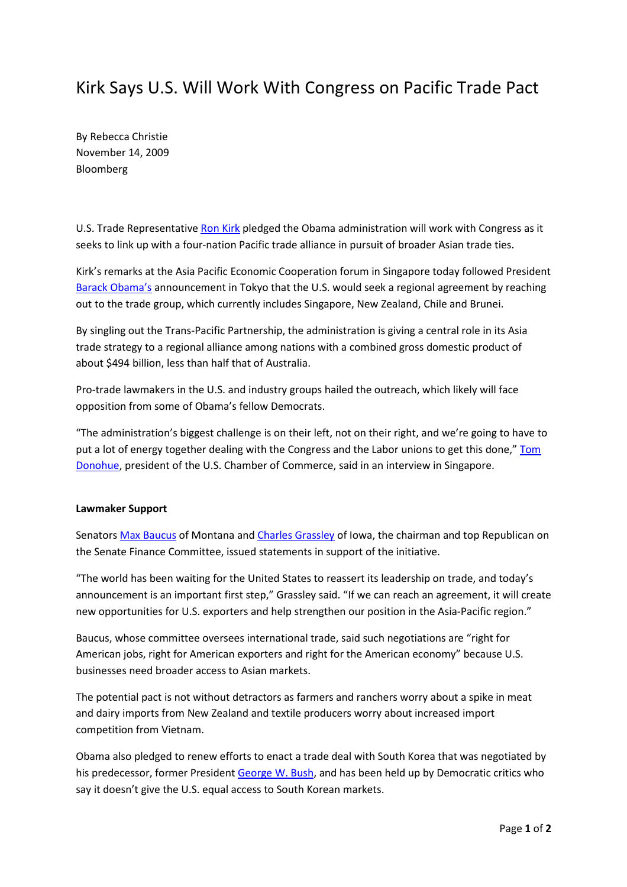## Kirk Says U.S. Will Work With Congress on Pacific Trade Pact

By Rebecca Christie November 14, 2009 Bloomberg

U.S. Trade Representative Ron Kirk pledged the Obama administration will work with Congress as it seeks to link up with a four-nation Pacific trade alliance in pursuit of broader Asian trade ties.

Kirk's remarks at the Asia Pacific Economic Cooperation forum in Singapore today followed President Barack Obama's announcement in Tokyo that the U.S. would seek a regional agreement by reaching out to the trade group, which currently includes Singapore, New Zealand, Chile and Brunei.

By singling out the Trans-Pacific Partnership, the administration is giving a central role in its Asia trade strategy to a regional alliance among nations with a combined gross domestic product of about \$494 billion, less than half that of Australia.

Pro-trade lawmakers in the U.S. and industry groups hailed the outreach, which likely will face opposition from some of Obama's fellow Democrats.

"The administration's biggest challenge is on their left, not on their right, and we're going to have to put a lot of energy together dealing with the Congress and the Labor unions to get this done," Tom Donohue, president of the U.S. Chamber of Commerce, said in an interview in Singapore.

## Lawmaker Support

Senators Max Baucus of Montana and Charles Grassley of Iowa, the chairman and top Republican on the Senate Finance Committee, issued statements in support of the initiative.

"The world has been waiting for the United States to reassert its leadership on trade, and today's announcement is an important first step," Grassley said. "If we can reach an agreement, it will create new opportunities for U.S. exporters and help strengthen our position in the Asia-Pacific region."

Baucus, whose committee oversees international trade, said such negotiations are "right for American jobs, right for American exporters and right for the American economy" because U.S. businesses need broader access to Asian markets.

The potential pact is not without detractors as farmers and ranchers worry about a spike in meat and dairy imports from New Zealand and textile producers worry about increased import competition from Vietnam.

Obama also pledged to renew efforts to enact a trade deal with South Korea that was negotiated by his predecessor, former President George W. Bush, and has been held up by Democratic critics who say it doesn't give the U.S. equal access to South Korean markets.